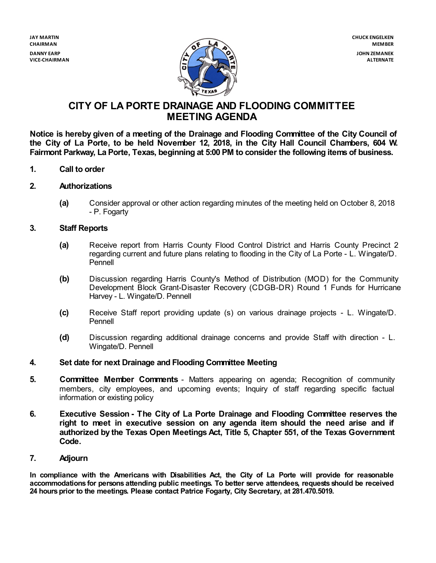**VICE-CHAIRMAN**



# **CITY OF LA PORTE DRAINAGE AND FLOODING COMMITTEE MEETING AGENDA**

**Notice is hereby given of a meeting of the Drainage and Flooding Committee of the City Council of** the City of La Porte, to be held November 12, 2018, in the City Hall Council Chambers, 604 W. **Fairmont Parkway, La Porte, Texas, beginning at 5:00 PM to consider the following items of business.**

**1. Call to order**

#### **2. Authorizations**

**(a)** Consider approval or other action regarding minutes of the meeting held on October 8, 2018 - P. Fogarty

#### **3. Staff Reports**

- **(a)** Receive report from Harris County Flood Control District and Harris County Precinct 2 regarding current and future plans relating to flooding in the City of La Porte - L. Wingate/D. Pennell
- **(b)** Discussion regarding Harris County's Method of Distribution (MOD) for the Community Development Block Grant-Disaster Recovery (CDGB-DR) Round 1 Funds for Hurricane Harvey - L. Wingate/D. Pennell
- **(c)** Receive Staff report providing update (s) on various drainage projects L. Wingate/D. Pennell
- **(d)** Discussion regarding additional drainage concerns and provide Staff with direction L. Wingate/D. Pennell

#### **4. Set date for next Drainage and Flooding Committee Meeting**

- **5. Committee Member Comments** Matters appearing on agenda; Recognition of community members, city employees, and upcoming events; Inquiry of staff regarding specific factual information or existing policy
- **6. Executive Session - The City of La Porte Drainage and Flooding Committee reserves the right to meet in executive session on any agenda item should the need arise and if authorized by the Texas Open Meetings Act, Title 5, Chapter 551, of the Texas Government Code.**

#### **7. Adjourn**

**In compliance with the Americans with Disabilities Act, the City of La Porte will provide for reasonable accommodations for persons attending public meetings. To better serve attendees, requests should be received 24 hoursprior to the meetings. Please contact Patrice Fogarty, City Secretary, at 281.470.5019.**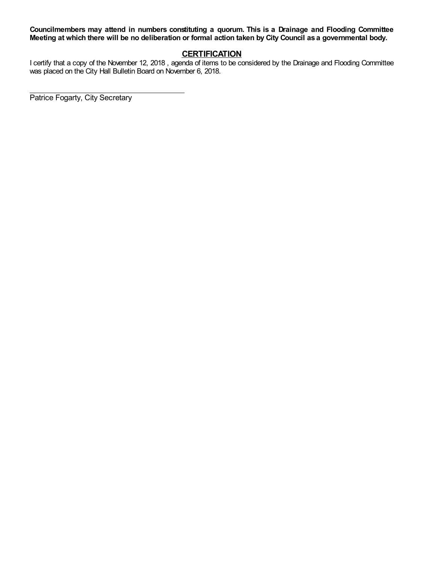**Councilmembers may attend in numbers constituting a quorum. This is a Drainage and Flooding Committee** Meeting at which there will be no deliberation or formal action taken by City Council as a governmental body.

# **CERTIFICATION**

I certify that a copy of the November 12, 2018 , agenda of items to be considered by the Drainage and Flooding Committee was placed on the City Hall Bulletin Board on November 6, 2018.

Patrice Fogarty, City Secretary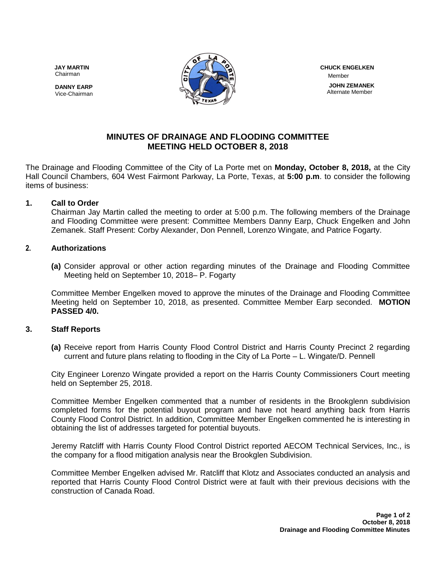Chairman





 Member  **JOHN ZEMANEK** Alternate Member

# **MINUTES OF DRAINAGE AND FLOODING COMMITTEE MEETING HELD OCTOBER 8, 2018**

The Drainage and Flooding Committee of the City of La Porte met on **Monday, October 8, 2018,** at the City Hall Council Chambers, 604 West Fairmont Parkway, La Porte, Texas, at **5:00 p.m**. to consider the following items of business:

## **1. Call to Order**

Chairman Jay Martin called the meeting to order at 5:00 p.m. The following members of the Drainage and Flooding Committee were present: Committee Members Danny Earp, Chuck Engelken and John Zemanek. Staff Present: Corby Alexander, Don Pennell, Lorenzo Wingate, and Patrice Fogarty.

## **2. Authorizations**

**(a)** Consider approval or other action regarding minutes of the Drainage and Flooding Committee Meeting held on September 10, 2018– P. Fogarty

Committee Member Engelken moved to approve the minutes of the Drainage and Flooding Committee Meeting held on September 10, 2018, as presented. Committee Member Earp seconded. **MOTION PASSED 4/0.**

## **3. Staff Reports**

**(a)** Receive report from Harris County Flood Control District and Harris County Precinct 2 regarding current and future plans relating to flooding in the City of La Porte – L. Wingate/D. Pennell

City Engineer Lorenzo Wingate provided a report on the Harris County Commissioners Court meeting held on September 25, 2018.

Committee Member Engelken commented that a number of residents in the Brookglenn subdivision completed forms for the potential buyout program and have not heard anything back from Harris County Flood Control District. In addition, Committee Member Engelken commented he is interesting in obtaining the list of addresses targeted for potential buyouts.

Jeremy Ratcliff with Harris County Flood Control District reported AECOM Technical Services, Inc., is the company for a flood mitigation analysis near the Brookglen Subdivision.

Committee Member Engelken advised Mr. Ratcliff that Klotz and Associates conducted an analysis and reported that Harris County Flood Control District were at fault with their previous decisions with the construction of Canada Road.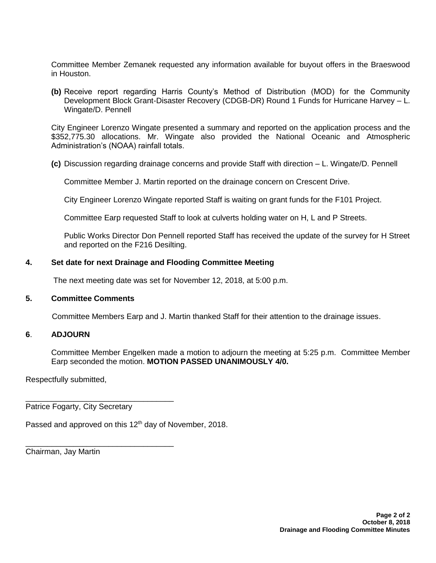Committee Member Zemanek requested any information available for buyout offers in the Braeswood in Houston.

**(b)** Receive report regarding Harris County's Method of Distribution (MOD) for the Community Development Block Grant-Disaster Recovery (CDGB-DR) Round 1 Funds for Hurricane Harvey – L. Wingate/D. Pennell

City Engineer Lorenzo Wingate presented a summary and reported on the application process and the \$352,775.30 allocations. Mr. Wingate also provided the National Oceanic and Atmospheric Administration's (NOAA) rainfall totals.

**(c)** Discussion regarding drainage concerns and provide Staff with direction – L. Wingate/D. Pennell

Committee Member J. Martin reported on the drainage concern on Crescent Drive.

City Engineer Lorenzo Wingate reported Staff is waiting on grant funds for the F101 Project.

Committee Earp requested Staff to look at culverts holding water on H, L and P Streets.

Public Works Director Don Pennell reported Staff has received the update of the survey for H Street and reported on the F216 Desilting.

#### **4. Set date for next Drainage and Flooding Committee Meeting**

The next meeting date was set for November 12, 2018, at 5:00 p.m.

#### **5. Committee Comments**

Committee Members Earp and J. Martin thanked Staff for their attention to the drainage issues.

### **6**. **ADJOURN**

Committee Member Engelken made a motion to adjourn the meeting at 5:25 p.m. Committee Member Earp seconded the motion. **MOTION PASSED UNANIMOUSLY 4/0.** 

Respectfully submitted,

Patrice Fogarty, City Secretary

\_\_\_\_\_\_\_\_\_\_\_\_\_\_\_\_\_\_\_\_\_\_\_\_\_\_\_\_\_\_\_\_\_\_

\_\_\_\_\_\_\_\_\_\_\_\_\_\_\_\_\_\_\_\_\_\_\_\_\_\_\_\_\_\_\_\_\_\_

Passed and approved on this 12<sup>th</sup> day of November, 2018.

Chairman, Jay Martin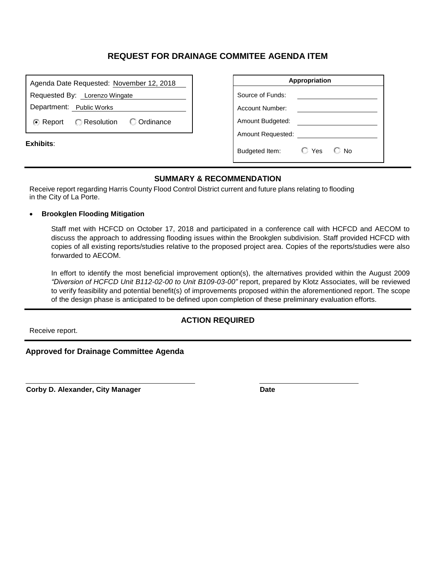| Agenda Date Requested: November 12, 2018              | Appropriation                                       |
|-------------------------------------------------------|-----------------------------------------------------|
| Requested By: Lorenzo Wingate                         | Source of Funds:                                    |
| Department: Public Works                              | Account Number:                                     |
| C Ordinance<br><b>C</b> Resolution<br><b>⊙</b> Report | Amount Budgeted:                                    |
|                                                       | Amount Requested:                                   |
| Exhibits:                                             | $\bigcirc$ Yes<br>$\mathbb{C}$ No<br>Budgeted Item: |

## **SUMMARY & RECOMMENDATION**

Receive report regarding Harris County Flood Control District current and future plans relating to flooding in the City of La Porte.

#### • **Brookglen Flooding Mitigation**

Staff met with HCFCD on October 17, 2018 and participated in a conference call with HCFCD and AECOM to discuss the approach to addressing flooding issues within the Brookglen subdivision. Staff provided HCFCD with copies of all existing reports/studies relative to the proposed project area. Copies of the reports/studies were also forwarded to AECOM.

In effort to identify the most beneficial improvement option(s), the alternatives provided within the August 2009 *"Diversion of HCFCD Unit B112-02-00 to Unit B109-03-00"* report, prepared by Klotz Associates, will be reviewed to verify feasibility and potential benefit(s) of improvements proposed within the aforementioned report. The scope of the design phase is anticipated to be defined upon completion of these preliminary evaluation efforts.

Receive report.

## **ACTION REQUIRED**

**Approved for Drainage Committee Agenda**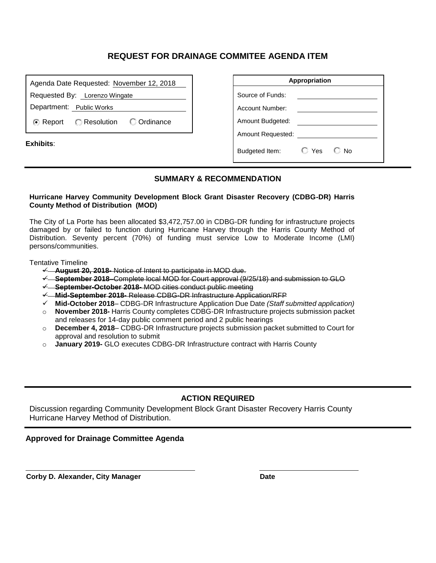| Agenda Date Requested: November 12, 2018            | Appropriation    |                          |     |      |
|-----------------------------------------------------|------------------|--------------------------|-----|------|
| Requested By: Lorenzo Wingate                       | Source of Funds: |                          |     |      |
| Department: Public Works                            |                  | Account Number:          |     |      |
| C Ordinance<br>Resolution<br><b><i>■</i></b> Report |                  | Amount Budgeted:         |     |      |
|                                                     |                  | <b>Amount Requested:</b> |     |      |
| Exhibits:                                           |                  | Budgeted Item:           | Yes | C⊟No |

## **SUMMARY & RECOMMENDATION**

#### **Hurricane Harvey Community Development Block Grant Disaster Recovery (CDBG-DR) Harris County Method of Distribution (MOD)**

The City of La Porte has been allocated \$3,472,757.00 in CDBG-DR funding for infrastructure projects damaged by or failed to function during Hurricane Harvey through the Harris County Method of Distribution. Seventy percent (70%) of funding must service Low to Moderate Income (LMI) persons/communities.

Tentative Timeline

- ✓ **August 20, 2018-** Notice of Intent to participate in MOD due.
- ✓ **September 2018**–Complete local MOD for Court approval (9/25/18) and submission to GLO
- ✓ **September-October 2018-** MOD cities conduct public meeting
- ✓ **Mid-September 2018-** Release CDBG-DR Infrastructure Application/RFP
- ✓ **Mid-October 2018** CDBG-DR Infrastructure Application Due Date *(Staff submitted application)*
- o **November 2018-** Harris County completes CDBG-DR Infrastructure projects submission packet and releases for 14-day public comment period and 2 public hearings
- o **December 4, 2018** CDBG-DR Infrastructure projects submission packet submitted to Court for approval and resolution to submit
- o **January 2019-** GLO executes CDBG-DR Infrastructure contract with Harris County

### **ACTION REQUIRED**

Discussion regarding Community Development Block Grant Disaster Recovery Harris County Hurricane Harvey Method of Distribution.

#### **Approved for Drainage Committee Agenda**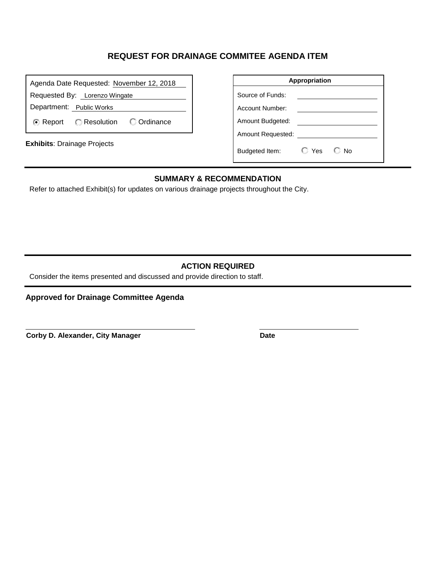| Agenda Date Requested: November 12, 2018                   | Appropriation                              |
|------------------------------------------------------------|--------------------------------------------|
| Requested By: Lorenzo Wingate                              | Source of Funds:                           |
| Department: Public Works                                   | Account Number:                            |
| <b>C</b> Ordinance<br><b>Resolution</b><br><b>⊙</b> Report | Amount Budgeted:                           |
| <b>Exhibits: Drainage Projects</b>                         | <b>Amount Requested:</b>                   |
|                                                            | $\mathbb{C}$ Yes<br>Budgeted Item:<br>© No |

## **SUMMARY & RECOMMENDATION**

Refer to attached Exhibit(s) for updates on various drainage projects throughout the City.

# **ACTION REQUIRED**

Consider the items presented and discussed and provide direction to staff.

**Approved for Drainage Committee Agenda**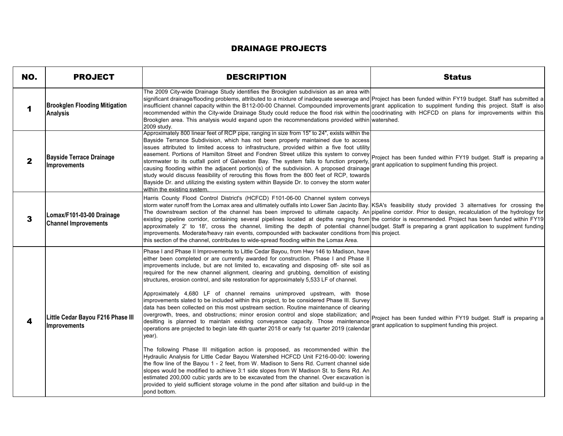| <b>DRAINAGE PROJECTS</b> |                                                          |                                                                                                                                                                                                                                                                                                                                                                                                                                                                                                                                                                                                                                                                                                                                                                                                                                                                                                                                                                                                                                                                                                                                                                                                                                                                                                                                                                                                                                                                                                                                                                                                       |                                                                                                                          |
|--------------------------|----------------------------------------------------------|-------------------------------------------------------------------------------------------------------------------------------------------------------------------------------------------------------------------------------------------------------------------------------------------------------------------------------------------------------------------------------------------------------------------------------------------------------------------------------------------------------------------------------------------------------------------------------------------------------------------------------------------------------------------------------------------------------------------------------------------------------------------------------------------------------------------------------------------------------------------------------------------------------------------------------------------------------------------------------------------------------------------------------------------------------------------------------------------------------------------------------------------------------------------------------------------------------------------------------------------------------------------------------------------------------------------------------------------------------------------------------------------------------------------------------------------------------------------------------------------------------------------------------------------------------------------------------------------------------|--------------------------------------------------------------------------------------------------------------------------|
| NO.                      | <b>PROJECT</b>                                           | <b>DESCRIPTION</b>                                                                                                                                                                                                                                                                                                                                                                                                                                                                                                                                                                                                                                                                                                                                                                                                                                                                                                                                                                                                                                                                                                                                                                                                                                                                                                                                                                                                                                                                                                                                                                                    | <b>Status</b>                                                                                                            |
| 1                        | <b>Brookglen Flooding Mitigation</b><br><b>Analysis</b>  | The 2009 City-wide Drainage Study identifies the Brookglen subdivision as an area with<br>significant drainage/flooding problems, attributed to a mixture of inadequate sewerage and Project has been funded within FY19 budget. Staff has submitted a<br>insufficient channel capacity within the B112-00-00 Channel. Compounded improvements grant application to supplment funding this project. Staff is also<br>recommended within the City-wide Drainage Study could reduce the flood risk within the coodrinating with HCFCD on plans for improvements within this<br>Brookglen area. This analysis would expand upon the recommendations provided within watershed.<br>2009 study.                                                                                                                                                                                                                                                                                                                                                                                                                                                                                                                                                                                                                                                                                                                                                                                                                                                                                                            |                                                                                                                          |
| 2                        | <b>Bayside Terrace Drainage</b><br>Improvements          | Approximately 800 linear feet of RCP pipe, ranging in size from 15" to 24", exists within the<br>Bayside Terrance Subdivision, which has not been properly maintained due to access<br>issues attributed to limited access to infrastructure, provided within a five foot utility<br>easement. Portions of Hamilton Street and Fondren Street utilize this system to convey<br>stormwater to its outfall point of Galveston Bay. The system fails to function properly,<br>causing flooding within the adjacent portion(s) of the subdivision. A proposed drainage<br>study would discuss feasibility of rerouting this flows from the 800 feet of RCP, towards<br>Bayside Dr. and utilizing the existing system within Bayside Dr. to convey the storm water<br>within the existing system.                                                                                                                                                                                                                                                                                                                                                                                                                                                                                                                                                                                                                                                                                                                                                                                                          | Project has been funded within FY19 budget. Staff is preparing a<br>grant application to supplment funding this project. |
| 3                        | Lomax/F101-03-00 Drainage<br><b>Channel Improvements</b> | Harris County Flood Control District's (HCFCD) F101-06-00 Channel system conveys<br>storm water runoff from the Lomax area and ultimately outfalls into Lower San Jacinto Bay. KSA's feasibility study provided 3 alternatives for crossing the<br>The downstream section of the channel has been improved to ultimate capacity. An pipeline corridor. Prior to design, recalculation of the hydrology for<br>existing pipeline corridor, containing several pipelines located at depths ranging from the corridor is recommended. Project has been funded within FY19<br>approximately 2' to 18', cross the channel, limiting the depth of potential channel budget. Staff is preparing a grant application to supplment funding<br>improvements. Moderate/heavy rain events, compounded with backwater conditions from this project.<br>this section of the channel, contributes to wide-spread flooding within the Lomax Area.                                                                                                                                                                                                                                                                                                                                                                                                                                                                                                                                                                                                                                                                     |                                                                                                                          |
| 4                        | Little Cedar Bayou F216 Phase III<br>Improvements        | Phase I and Phase II Improvements to Little Cedar Bayou, from Hwy 146 to Madison, have<br>either been completed or are currently awarded for construction. Phase I and Phase II<br>improvements include, but are not limited to, excavating and disposing off- site soil as<br>required for the new channel alignment, clearing and grubbing, demolition of existing<br>structures, erosion control, and site restoration for approximately 5,533 LF of channel.<br>Approximately 4,680 LF of channel remains unimproved upstream, with those<br>improvements slated to be included within this project, to be considered Phase III. Survey<br>data has been collected on this most upstream section. Routine maintenance of clearing<br>overgrowth, trees, and obstructions; minor erosion control and slope stabilization; and<br>desilting is planned to maintain existing conveyance capacity. Those maintenance<br>operations are projected to begin late 4th quarter 2018 or early 1st quarter 2019 (calendar<br>year).<br>The following Phase III mitigation action is proposed, as recommended within the<br>Hydraulic Analysis for Little Cedar Bayou Watershed HCFCD Unit F216-00-00: lowering<br>the flow line of the Bayou 1 - 2 feet, from W. Madison to Sens Rd. Current channel side<br>slopes would be modified to achieve 3:1 side slopes from W Madison St. to Sens Rd. An<br>estimated 200,000 cubic yards are to be excavated from the channel. Over excavation is<br>provided to yield sufficient storage volume in the pond after siltation and build-up in the<br>pond bottom. | Project has been funded within FY19 budget. Staff is preparing a<br>grant application to supplment funding this project. |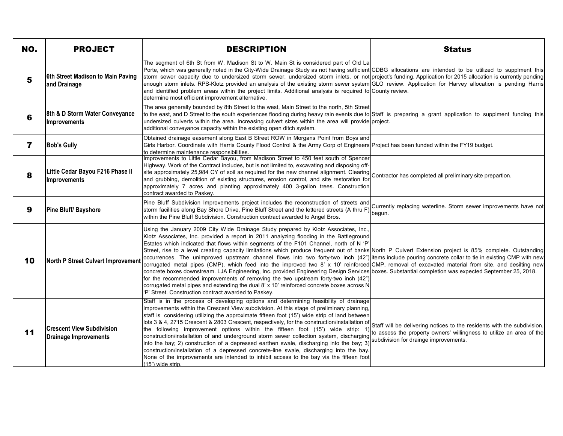| NO.            | <b>PROJECT</b>                                            | <b>DESCRIPTION</b>                                                                                                                                                                                                                                                                                                                                                                                                                                                                                                                                                                                                                                                                                                                                                                                                                                                                                                                                                                                                                                                                                                                                       | <b>Status</b>                                                                                                                                                                            |
|----------------|-----------------------------------------------------------|----------------------------------------------------------------------------------------------------------------------------------------------------------------------------------------------------------------------------------------------------------------------------------------------------------------------------------------------------------------------------------------------------------------------------------------------------------------------------------------------------------------------------------------------------------------------------------------------------------------------------------------------------------------------------------------------------------------------------------------------------------------------------------------------------------------------------------------------------------------------------------------------------------------------------------------------------------------------------------------------------------------------------------------------------------------------------------------------------------------------------------------------------------|------------------------------------------------------------------------------------------------------------------------------------------------------------------------------------------|
| 5              | 6th Street Madison to Main Paving<br>and Drainage         | The segment of 6th St from W. Madison St to W. Main St is considered part of Old La<br>Porte, which was generally noted in the City-Wide Drainage Study as not having sufficient CDBG allocations are intended to be utilized to supplment this<br>storm sewer capacity due to undersized storm sewer, undersized storm inlets, or not project's funding. Application for 2015 allocation is currently pending<br>enough storm inlets. RPS-Klotz provided an analysis of the existing storm sewer system GLO review. Application for Harvey allocation is pending Harris<br>and identified problem areas within the project limits. Additional analysis is required to County review.<br>determine most efficient improvement alternative.                                                                                                                                                                                                                                                                                                                                                                                                               |                                                                                                                                                                                          |
| 6              | 8th & D Storm Water Conveyance<br>Improvements            | The area generally bounded by 8th Street to the west, Main Street to the north, 5th Street<br>to the east, and D Street to the south experiences flooding during heavy rain events due to Staff is preparing a grant application to supplment funding this<br>undersized culverts within the area. Increasing culvert sizes within the area will provide project.<br>additional conveyance capacity within the existing open ditch system.                                                                                                                                                                                                                                                                                                                                                                                                                                                                                                                                                                                                                                                                                                               |                                                                                                                                                                                          |
| $\overline{7}$ | <b>Bob's Gully</b>                                        | Obtained drainage easement along East B Street ROW in Morgans Point from Boys and<br>Girls Harbor. Coordinate with Harris County Flood Control & the Army Corp of Engineers Project has been funded within the FY19 budget.<br>to determine maintenance responsibilities.                                                                                                                                                                                                                                                                                                                                                                                                                                                                                                                                                                                                                                                                                                                                                                                                                                                                                |                                                                                                                                                                                          |
| 8              | Little Cedar Bayou F216 Phase II<br>Improvements          | Improvements to Little Cedar Bayou, from Madison Street to 450 feet south of Spencer<br>Highway. Work of the Contract includes, but is not limited to, excavating and disposing off-<br>site approximately 25,984 CY of soil as required for the new channel alignment. Clearing<br>site approximately 25,984 CY of soil as required for the new channel alignment. Clearing Contractor has completed all preliminary sit<br>and grubbing, demolition of existing structures, erosion control, and site restoration for<br>approximately 7 acres and planting approximately 400 3-gallon trees. Construction<br>contract awarded to Paskey.                                                                                                                                                                                                                                                                                                                                                                                                                                                                                                              |                                                                                                                                                                                          |
| 9              | Pine Bluff/ Bayshore                                      | Pine Bluff Subdivision Improvements project includes the reconstruction of streets and<br>storm facilities along Bay Shore Drive, Pine Bluff Street and the lettered streets (A thru F)<br>within the Pine Bluff Subdivision. Construction contract awarded to Angel Bros.                                                                                                                                                                                                                                                                                                                                                                                                                                                                                                                                                                                                                                                                                                                                                                                                                                                                               | Currently replacing waterline. Storm sewer improvements have not<br>begun.                                                                                                               |
| 10             | North P Street Culvert Improvement                        | Using the January 2009 City Wide Drainage Study prepared by Klotz Associates, Inc.,<br>Klotz Associates, Inc. provided a report in 2011 analyzing flooding in the Battleground<br>Estates which indicated that flows within segments of the F101 Channel, north of N 'P'<br>Street, rise to a level creating capacity limitations which produce frequent out of banks North P Culvert Extension project is 85% complete. Outstanding<br>occurrences. The unimproved upstream channel flows into two forty-two inch (42") litems include pouring concrete collar to tie in existing CMP with new<br>corrugated metal pipes (CMP), which feed into the improved two 8' x 10' reinforced CMP, removal of excavated material from site, and desilting new<br>concrete boxes downstream. LJA Engineering, Inc. provided Engineering Design Services boxes. Substantial completion was expected September 25, 2018.<br>for the recommended improvements of removing the two upstream forty-two inch (42")<br>corrugated metal pipes and extending the dual 8' x 10' reinforced concrete boxes across N<br>'P' Street. Construction contract awarded to Paskey. |                                                                                                                                                                                          |
| 11             | <b>Crescent View Subdivision</b><br>Drainage Improvements | Staff is in the process of developing options and determining feasibility of drainage<br>improvements within the Crescent View subdivision. At this stage of preliminary planning,<br>staff is considering utilizing the approximate fifteen foot (15') wide strip of land between<br>lots 3 & 4, 2715 Crescent & 2803 Crescent, respectively, for the construction/installation of<br>the following improvement options within the fifteen foot (15') wide strip: 1)<br>construction/installation of and underground storm sewer collection system, discharging<br>into the bay; 2) construction of a depressed earthen swale, discharging into the bay; 3)<br>construction/installation of a depressed concrete-line swale, discharging into the bay.<br>None of the improvements are intended to inhibit access to the bay via the fifteen foot<br>(15') wide strip.                                                                                                                                                                                                                                                                                  | Staff will be delivering notices to the residents with the subdivision,<br>to assess the property owners' willingness to utilize an area of the<br>subdivision for drainge improvements. |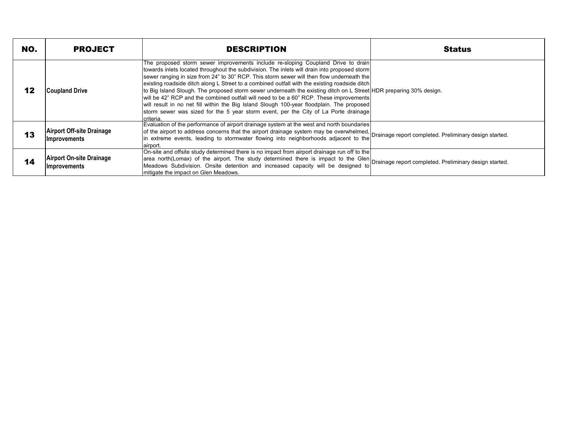| NO. | <b>PROJECT</b>                                          | <b>DESCRIPTION</b>                                                                                                                                                                                                                                                                                                                                                                                                                                                                                                                                                                                                                                                                                                                                                                              | <b>Status</b> |
|-----|---------------------------------------------------------|-------------------------------------------------------------------------------------------------------------------------------------------------------------------------------------------------------------------------------------------------------------------------------------------------------------------------------------------------------------------------------------------------------------------------------------------------------------------------------------------------------------------------------------------------------------------------------------------------------------------------------------------------------------------------------------------------------------------------------------------------------------------------------------------------|---------------|
| 12  | <b>Coupland Drive</b>                                   | The proposed storm sewer improvements include re-sloping Coupland Drive to drain<br>towards inlets located throughout the subdivision. The inlets will drain into proposed storm<br>sewer ranging in size from 24" to 30" RCP. This storm sewer will then flow underneath the<br>existing roadside ditch along L Street to a combined outfall with the existing roadside ditch<br>to Big Island Slough. The proposed storm sewer underneath the existing ditch on L Street HDR preparing 30% design.<br>will be 42" RCP and the combined outfall will need to be a 60" RCP. These improvements<br>will result in no net fill within the Big Island Slough 100-year floodplain. The proposed<br>storm sewer was sized for the 5 year storm event, per the City of La Porte drainage<br>criteria. |               |
| 13  | <b>Airport Off-site Drainage</b><br><b>Improvements</b> | Evaluation of the performance of airport drainage system at the west and north boundaries<br>of the airport to address concerns that the airport drainage system may be overwhelmed,<br>of the airport to address concerns that the airport drainage system may be overwhelmed, Drainage report completed. Preliminary design<br>in extreme events, leading to stormwater flowing into neighborhoods adjacent to the<br>airport.                                                                                                                                                                                                                                                                                                                                                                |               |
| 14  | <b>Airport On-site Drainage</b><br><b>Improvements</b>  | On-site and offsite study determined there is no impact from airport drainage run off to the<br>area north(Lomax) of the airport. The study determined there is impact to the Glen<br>area north(Lomax) of the airport. The study determined there is impact to the Glen<br>the Glen prainage report completed. Preliminary design s<br>Meadows Subdivision. Onsite detention and increased capacity will be designed to<br>mitigate the impact on Glen Meadows.                                                                                                                                                                                                                                                                                                                                |               |